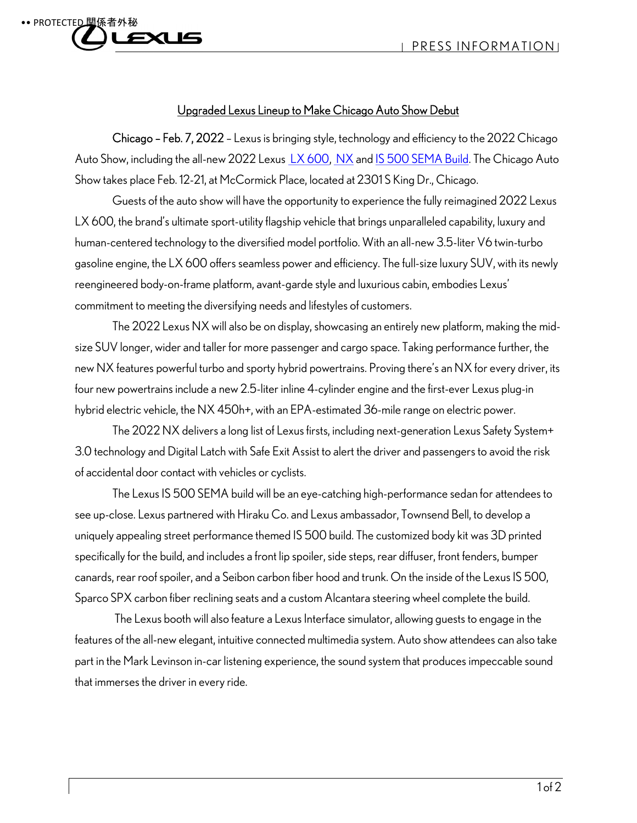## •• PROTECTED 15 ص ب

## Upgraded Lexus Lineup to Make Chicago Auto Show Debut

Chicago – Feb. 7, 2022 – Lexus is bringing style, technology and efficiency to the 2022 Chicago Auto Show, including the all-new 2022 Lexus LX 600, NX and IS 500 SEMA Build. The Chicago Auto Show takes place Feb. 12-21, at McCormick Place, located at 2301 S King Dr., Chicago.

Guests of the auto show will have the opportunity to experience the fully reimagined 2022 Lexus LX 600, the brand's ultimate sport-utility flagship vehicle that brings unparalleled capability, luxury and human-centered technology to the diversified model portfolio. With an all-new 3.5-liter V6 twin-turbo gasoline engine, the LX 600 offers seamless power and efficiency. The full-size luxury SUV, with its newly reengineered body-on-frame platform, avant-garde style and luxurious cabin, embodies Lexus' commitment to meeting the diversifying needs and lifestyles of customers.

The 2022 Lexus NX will also be on display, showcasing an entirely new platform, making the midsize SUV longer, wider and taller for more passenger and cargo space. Taking performance further, the new NX features powerful turbo and sporty hybrid powertrains. Proving there's an NX for every driver, its four new powertrains include a new 2.5-liter inline 4-cylinder engine and the first-ever Lexus plug-in hybrid electric vehicle, the NX 450h+, with an EPA-estimated 36-mile range on electric power.

The 2022 NX delivers a long list of Lexus firsts, including next-generation Lexus Safety System+ 3.0 technology and Digital Latch with Safe Exit Assist to alert the driver and passengers to avoid the risk of accidental door contact with vehicles or cyclists.

The Lexus IS 500 SEMA build will be an eye-catching high-performance sedan for attendees to see up-close. Lexus partnered with Hiraku Co. and Lexus ambassador, Townsend Bell, to develop a uniquely appealing street performance themed IS 500 build. The customized body kit was 3D printed specifically for the build, and includes a front lip spoiler, side steps, rear diffuser, front fenders, bumper canards, rear roof spoiler, and a Seibon carbon fiber hood and trunk. On the inside of the Lexus IS 500, Sparco SPX carbon fiber reclining seats and a custom Alcantara steering wheel complete the build.

 The Lexus booth will also feature a Lexus Interface simulator, allowing guests to engage in the features of the all-new elegant, intuitive connected multimedia system. Auto show attendees can also take part in the Mark Levinson in-car listening experience, the sound system that produces impeccable sound that immerses the driver in every ride.